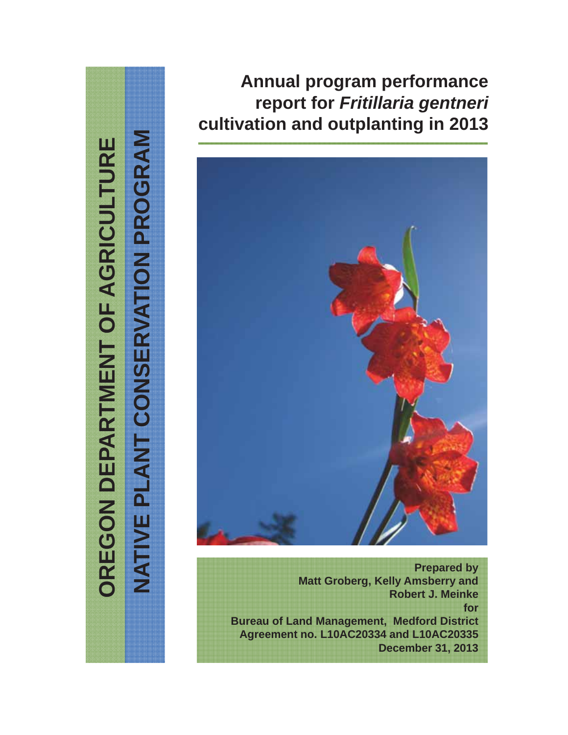# NATIVE PLANT CONSERVATION PROGRAM OREGON DEPARTMENT OF AGRICULTURE **OREGON DEPARTMENT OF AGRICULTURE**

**NATIVE PLANT CONSERVATION PROGRAM**

# **Annual program performance report for** *Fritillaria gentneri* **cultivation and outplanting in 2013**



**Prepared by Matt Groberg, Kelly Amsberry and Robert J. Meinke for Bureau of Land Management, Medford District Agreement no. L10AC20334 and L10AC20335 December 31, 2013**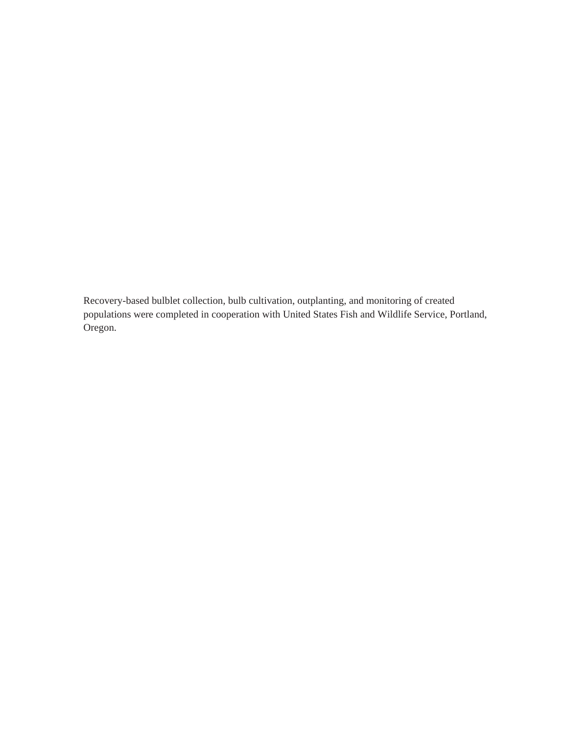Recovery-based bulblet collection, bulb cultivation, outplanting, and monitoring of created populations were completed in cooperation with United States Fish and Wildlife Service, Portland, Oregon.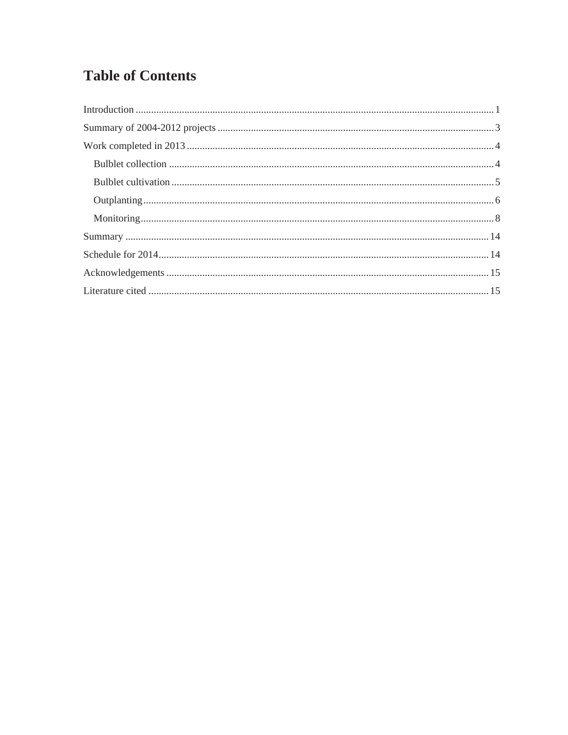# **Table of Contents**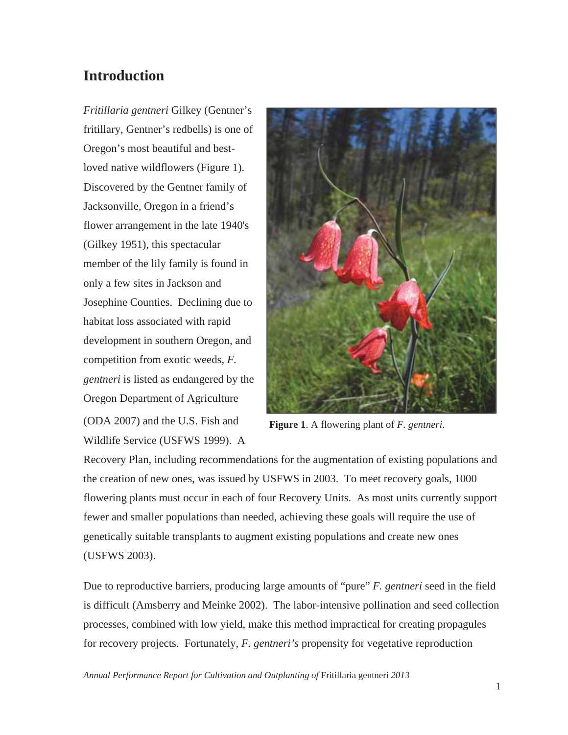# **Introduction**

*Fritillaria gentneri* Gilkey (Gentner's fritillary, Gentner's redbells) is one of Oregon's most beautiful and bestloved native wildflowers (Figure 1). Discovered by the Gentner family of Jacksonville, Oregon in a friend's flower arrangement in the late 1940's (Gilkey 1951), this spectacular member of the lily family is found in only a few sites in Jackson and Josephine Counties. Declining due to habitat loss associated with rapid development in southern Oregon, and competition from exotic weeds, *F. gentneri* is listed as endangered by the Oregon Department of Agriculture (ODA 2007) and the U.S. Fish and Wildlife Service (USFWS 1999). A



**Figure 1**. A flowering plant of *F. gentneri*.

Recovery Plan, including recommendations for the augmentation of existing populations and the creation of new ones, was issued by USFWS in 2003. To meet recovery goals, 1000 flowering plants must occur in each of four Recovery Units. As most units currently support fewer and smaller populations than needed, achieving these goals will require the use of genetically suitable transplants to augment existing populations and create new ones (USFWS 2003).

Due to reproductive barriers, producing large amounts of "pure" *F. gentneri* seed in the field is difficult (Amsberry and Meinke 2002). The labor-intensive pollination and seed collection processes, combined with low yield, make this method impractical for creating propagules for recovery projects. Fortunately, *F. gentneri's* propensity for vegetative reproduction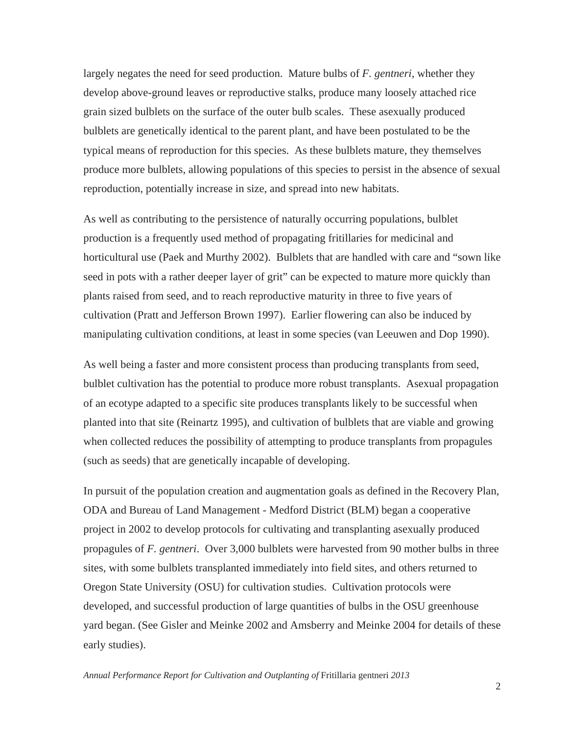largely negates the need for seed production. Mature bulbs of *F. gentneri*, whether they develop above-ground leaves or reproductive stalks, produce many loosely attached rice grain sized bulblets on the surface of the outer bulb scales. These asexually produced bulblets are genetically identical to the parent plant, and have been postulated to be the typical means of reproduction for this species. As these bulblets mature, they themselves produce more bulblets, allowing populations of this species to persist in the absence of sexual reproduction, potentially increase in size, and spread into new habitats.

As well as contributing to the persistence of naturally occurring populations, bulblet production is a frequently used method of propagating fritillaries for medicinal and horticultural use (Paek and Murthy 2002). Bulblets that are handled with care and "sown like seed in pots with a rather deeper layer of grit" can be expected to mature more quickly than plants raised from seed, and to reach reproductive maturity in three to five years of cultivation (Pratt and Jefferson Brown 1997). Earlier flowering can also be induced by manipulating cultivation conditions, at least in some species (van Leeuwen and Dop 1990).

As well being a faster and more consistent process than producing transplants from seed, bulblet cultivation has the potential to produce more robust transplants. Asexual propagation of an ecotype adapted to a specific site produces transplants likely to be successful when planted into that site (Reinartz 1995), and cultivation of bulblets that are viable and growing when collected reduces the possibility of attempting to produce transplants from propagules (such as seeds) that are genetically incapable of developing.

In pursuit of the population creation and augmentation goals as defined in the Recovery Plan, ODA and Bureau of Land Management - Medford District (BLM) began a cooperative project in 2002 to develop protocols for cultivating and transplanting asexually produced propagules of *F. gentneri*. Over 3,000 bulblets were harvested from 90 mother bulbs in three sites, with some bulblets transplanted immediately into field sites, and others returned to Oregon State University (OSU) for cultivation studies. Cultivation protocols were developed, and successful production of large quantities of bulbs in the OSU greenhouse yard began. (See Gisler and Meinke 2002 and Amsberry and Meinke 2004 for details of these early studies).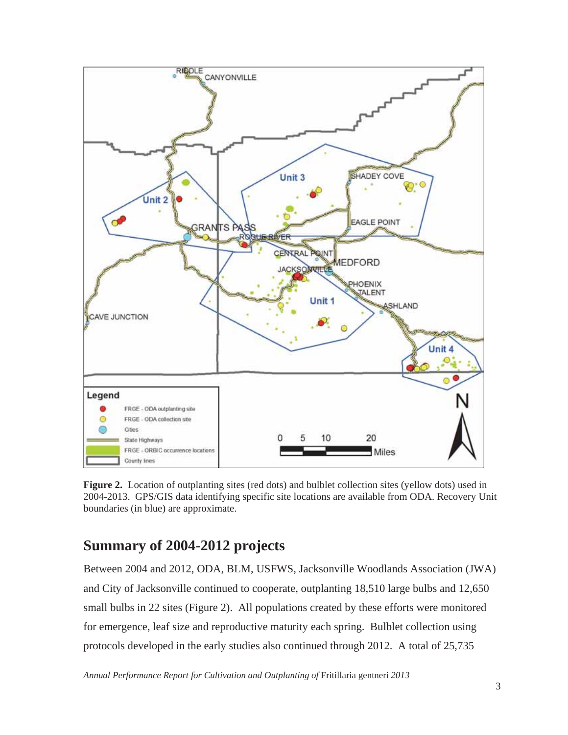

**Figure 2.** Location of outplanting sites (red dots) and bulblet collection sites (yellow dots) used in 2004-2013. GPS/GIS data identifying specific site locations are available from ODA. Recovery Unit boundaries (in blue) are approximate.

# **Summary of 2004-2012 projects**

Between 2004 and 2012, ODA, BLM, USFWS, Jacksonville Woodlands Association (JWA) and City of Jacksonville continued to cooperate, outplanting 18,510 large bulbs and 12,650 small bulbs in 22 sites (Figure 2). All populations created by these efforts were monitored for emergence, leaf size and reproductive maturity each spring. Bulblet collection using protocols developed in the early studies also continued through 2012. A total of 25,735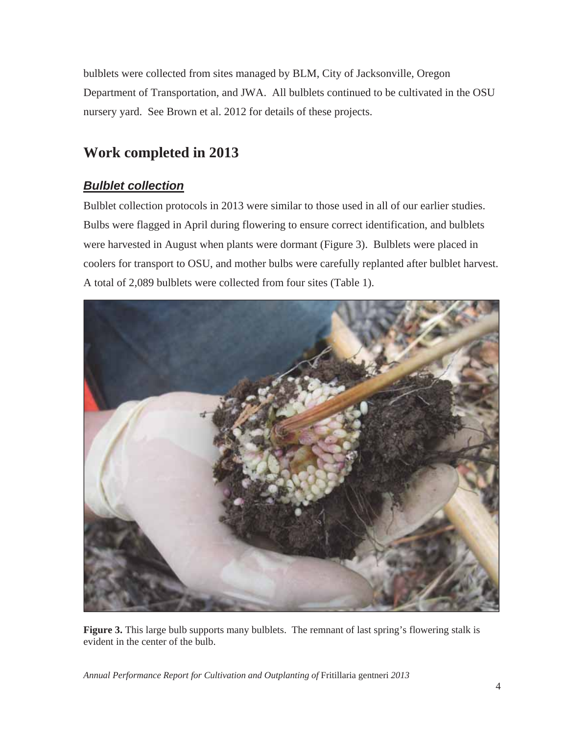bulblets were collected from sites managed by BLM, City of Jacksonville, Oregon Department of Transportation, and JWA. All bulblets continued to be cultivated in the OSU nursery yard. See Brown et al. 2012 for details of these projects.

# **Work completed in 2013**

### *Bulblet collection*

Bulblet collection protocols in 2013 were similar to those used in all of our earlier studies. Bulbs were flagged in April during flowering to ensure correct identification, and bulblets were harvested in August when plants were dormant (Figure 3). Bulblets were placed in coolers for transport to OSU, and mother bulbs were carefully replanted after bulblet harvest. A total of 2,089 bulblets were collected from four sites (Table 1).



Figure 3. This large bulb supports many bulblets. The remnant of last spring's flowering stalk is evident in the center of the bulb.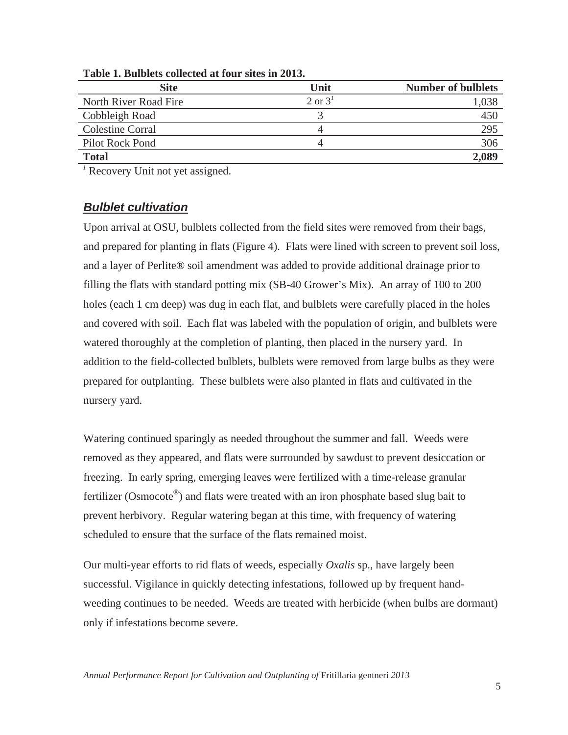| <b>Site</b>             | Unit               | <b>Number of bulblets</b> |
|-------------------------|--------------------|---------------------------|
| North River Road Fire   | $2$ or $3^{\circ}$ | 1,038                     |
| Cobbleigh Road          |                    | 450                       |
| <b>Colestine Corral</b> |                    | 295                       |
| Pilot Rock Pond         |                    | 306                       |
| <b>Total</b>            |                    | 2,089                     |

**Table 1. Bulblets collected at four sites in 2013.** 

*1* Recovery Unit not yet assigned.

### *Bulblet cultivation*

Upon arrival at OSU, bulblets collected from the field sites were removed from their bags, and prepared for planting in flats (Figure 4). Flats were lined with screen to prevent soil loss, and a layer of Perlite® soil amendment was added to provide additional drainage prior to filling the flats with standard potting mix (SB-40 Grower's Mix). An array of 100 to 200 holes (each 1 cm deep) was dug in each flat, and bulblets were carefully placed in the holes and covered with soil. Each flat was labeled with the population of origin, and bulblets were watered thoroughly at the completion of planting, then placed in the nursery yard. In addition to the field-collected bulblets, bulblets were removed from large bulbs as they were prepared for outplanting. These bulblets were also planted in flats and cultivated in the nursery yard.

Watering continued sparingly as needed throughout the summer and fall. Weeds were removed as they appeared, and flats were surrounded by sawdust to prevent desiccation or freezing. In early spring, emerging leaves were fertilized with a time-release granular fertilizer (Osmocote<sup>®</sup>) and flats were treated with an iron phosphate based slug bait to prevent herbivory. Regular watering began at this time, with frequency of watering scheduled to ensure that the surface of the flats remained moist.

Our multi-year efforts to rid flats of weeds, especially *Oxalis* sp., have largely been successful. Vigilance in quickly detecting infestations, followed up by frequent handweeding continues to be needed. Weeds are treated with herbicide (when bulbs are dormant) only if infestations become severe.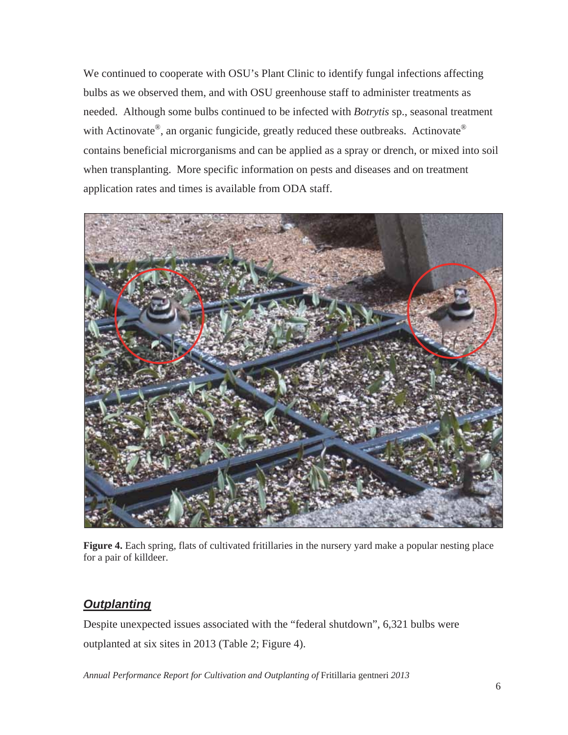We continued to cooperate with OSU's Plant Clinic to identify fungal infections affecting bulbs as we observed them, and with OSU greenhouse staff to administer treatments as needed. Although some bulbs continued to be infected with *Botrytis* sp., seasonal treatment with Actinovate®, an organic fungicide, greatly reduced these outbreaks. Actinovate® contains beneficial microrganisms and can be applied as a spray or drench, or mixed into soil when transplanting. More specific information on pests and diseases and on treatment application rates and times is available from ODA staff.



**Figure 4.** Each spring, flats of cultivated fritillaries in the nursery yard make a popular nesting place for a pair of killdeer.

### *Outplanting*

Despite unexpected issues associated with the "federal shutdown", 6,321 bulbs were outplanted at six sites in 2013 (Table 2; Figure 4).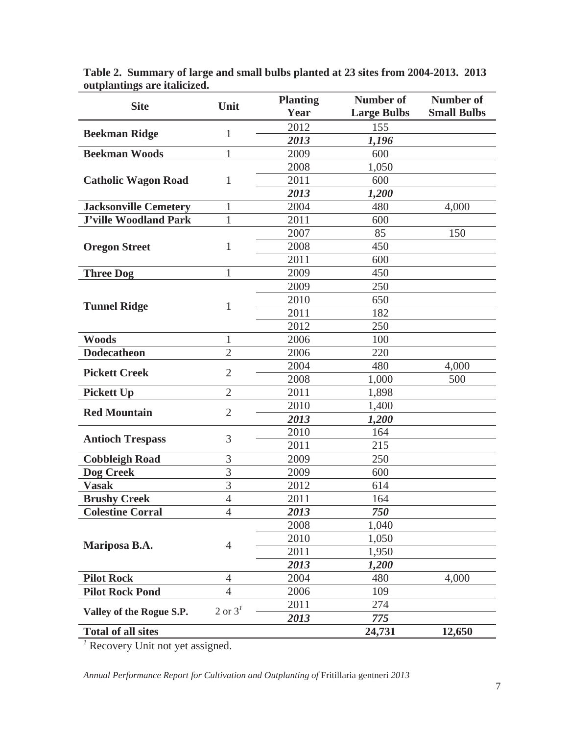| <b>Site</b>                  | Unit                            | <b>Planting</b> | <b>Number of</b>   | Number of          |
|------------------------------|---------------------------------|-----------------|--------------------|--------------------|
|                              |                                 | Year            | <b>Large Bulbs</b> | <b>Small Bulbs</b> |
| <b>Beekman Ridge</b>         | 1                               | 2012            | 155                |                    |
|                              |                                 | 2013            | 1,196              |                    |
| <b>Beekman Woods</b>         | 1                               | 2009            | 600                |                    |
|                              |                                 | 2008            | 1,050              |                    |
| <b>Catholic Wagon Road</b>   | 1                               | 2011            | 600                |                    |
|                              |                                 | 2013            | 1,200              |                    |
| <b>Jacksonville Cemetery</b> | 1                               | 2004            | 480                | 4,000              |
| <b>J'ville Woodland Park</b> | 1                               | 2011            | 600                |                    |
|                              |                                 | 2007            | 85                 | 150                |
| <b>Oregon Street</b>         | 1                               | 2008            | 450                |                    |
|                              |                                 | 2011            | 600                |                    |
| <b>Three Dog</b>             | 1                               | 2009            | 450                |                    |
|                              |                                 | 2009            | 250                |                    |
|                              |                                 | 2010            | 650                |                    |
| <b>Tunnel Ridge</b>          | 1                               | 2011            | 182                |                    |
|                              |                                 | 2012            | 250                |                    |
| <b>Woods</b>                 | 1                               | 2006            | 100                |                    |
| <b>Dodecatheon</b>           | $\overline{2}$                  | 2006            | 220                |                    |
|                              |                                 | 2004            | 480                | 4,000              |
| <b>Pickett Creek</b>         | $\overline{2}$                  | 2008            | 1,000              | 500                |
| <b>Pickett Up</b>            | $\overline{2}$                  | 2011            | 1,898              |                    |
|                              |                                 | 2010            | 1,400              |                    |
| <b>Red Mountain</b>          | $\overline{2}$<br>2013<br>1,200 |                 |                    |                    |
|                              |                                 | 2010            | 164                |                    |
| <b>Antioch Trespass</b>      | 3                               | 2011            | 215                |                    |
| <b>Cobbleigh Road</b>        | 3                               | 2009            | 250                |                    |
| Dog Creek                    | $\overline{3}$                  | 2009            | 600                |                    |
| <b>Vasak</b>                 | $\overline{3}$                  | 2012            | 614                |                    |
| <b>Brushy Creek</b>          | $\overline{4}$                  | 2011            | 164                |                    |
| <b>Colestine Corral</b>      | 4                               | 2013            | 750                |                    |
|                              |                                 | 2008            | 1,040              |                    |
|                              |                                 | 2010            | 1,050              |                    |
| Mariposa B.A.                | $\overline{4}$                  | 2011            | 1,950              |                    |
|                              |                                 | 2013            | 1,200              |                    |
| <b>Pilot Rock</b>            | $\overline{4}$                  | 2004            | 480                | 4,000              |
| <b>Pilot Rock Pond</b>       | $\overline{4}$                  | 2006            | 109                |                    |
|                              |                                 | 2011            | 274                |                    |
| Valley of the Rogue S.P.     | 2 or $31$                       | 2013            | 775                |                    |
| <b>Total of all sites</b>    |                                 |                 | 24,731             | 12,650             |

**Table 2. Summary of large and small bulbs planted at 23 sites from 2004-2013. 2013 outplantings are italicized.** 

*1* Recovery Unit not yet assigned.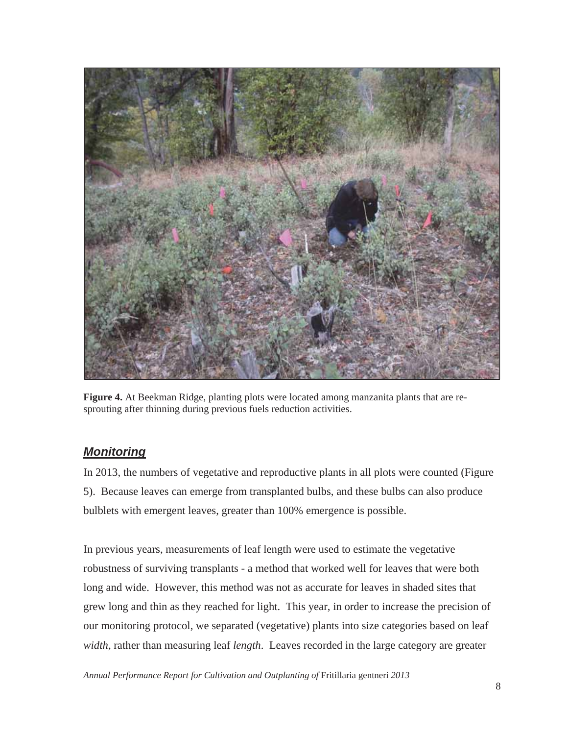

**Figure 4.** At Beekman Ridge, planting plots were located among manzanita plants that are resprouting after thinning during previous fuels reduction activities.

### *Monitoring*

In 2013, the numbers of vegetative and reproductive plants in all plots were counted (Figure 5). Because leaves can emerge from transplanted bulbs, and these bulbs can also produce bulblets with emergent leaves, greater than 100% emergence is possible.

In previous years, measurements of leaf length were used to estimate the vegetative robustness of surviving transplants - a method that worked well for leaves that were both long and wide. However, this method was not as accurate for leaves in shaded sites that grew long and thin as they reached for light. This year, in order to increase the precision of our monitoring protocol, we separated (vegetative) plants into size categories based on leaf *width*, rather than measuring leaf *length*. Leaves recorded in the large category are greater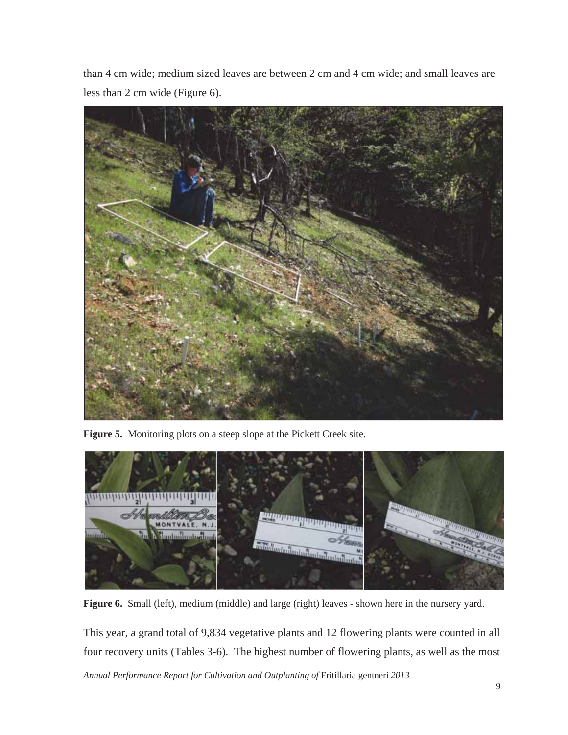than 4 cm wide; medium sized leaves are between 2 cm and 4 cm wide; and small leaves are less than 2 cm wide (Figure 6).



**Figure 5.** Monitoring plots on a steep slope at the Pickett Creek site.

![](_page_11_Picture_3.jpeg)

**Figure 6.** Small (left), medium (middle) and large (right) leaves - shown here in the nursery yard.

*Annual Performance Report for Cultivation and Outplanting of* Fritillaria gentneri *2013*  This year, a grand total of 9,834 vegetative plants and 12 flowering plants were counted in all four recovery units (Tables 3-6). The highest number of flowering plants, as well as the most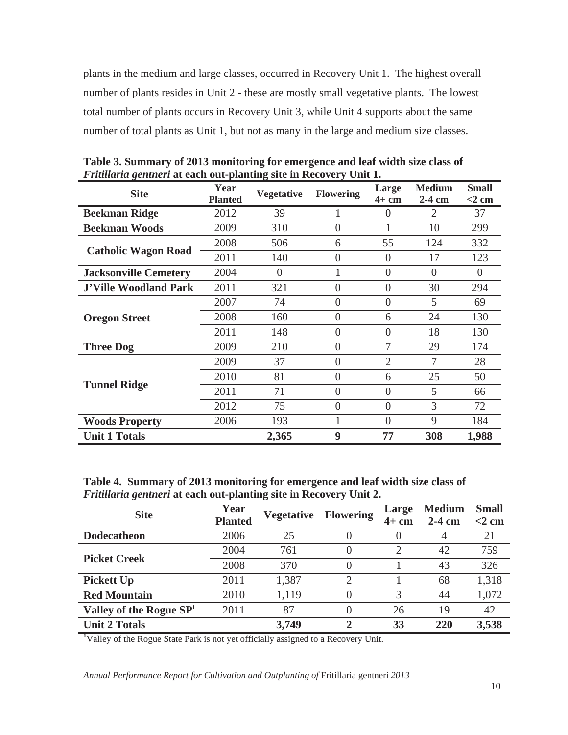plants in the medium and large classes, occurred in Recovery Unit 1. The highest overall number of plants resides in Unit 2 - these are mostly small vegetative plants. The lowest total number of plants occurs in Recovery Unit 3, while Unit 4 supports about the same number of total plants as Unit 1, but not as many in the large and medium size classes.

| <b>Site</b>                  | Year<br><b>Planted</b> | <b>Vegetative</b> | <b>Flowering</b> | Large<br>$4+$ cm | <b>Medium</b><br>$2-4$ cm | <b>Small</b><br>$<$ 2 cm |
|------------------------------|------------------------|-------------------|------------------|------------------|---------------------------|--------------------------|
| <b>Beekman Ridge</b>         | 2012                   | 39                |                  | $\Omega$         | 2                         | 37                       |
| <b>Beekman Woods</b>         | 2009                   | 310               | $\overline{0}$   |                  | 10                        | 299                      |
|                              | 2008                   | 506               | 6                | 55               | 124                       | 332                      |
| <b>Catholic Wagon Road</b>   | 2011                   | 140               | $\overline{0}$   | $\overline{0}$   | 17                        | 123                      |
| <b>Jacksonville Cemetery</b> | 2004                   | $\theta$          |                  | $\Omega$         | $\Omega$                  | $\Omega$                 |
| <b>J'Ville Woodland Park</b> | 2011                   | 321               | $\Omega$         | $\Omega$         | 30                        | 294                      |
|                              | 2007                   | 74                | $\overline{0}$   | $\theta$         | 5                         | 69                       |
| <b>Oregon Street</b>         | 2008                   | 160               | $\overline{0}$   | 6                | 24                        | 130                      |
|                              | 2011                   | 148               | $\overline{0}$   | $\theta$         | 18                        | 130                      |
| <b>Three Dog</b>             | 2009                   | 210               | $\overline{0}$   | 7                | 29                        | 174                      |
|                              | 2009                   | 37                | $\overline{0}$   | $\overline{2}$   | 7                         | 28                       |
|                              | 2010                   | 81                | $\overline{0}$   | 6                | 25                        | 50                       |
| <b>Tunnel Ridge</b>          | 2011                   | 71                | $\overline{0}$   | $\theta$         | 5                         | 66                       |
|                              | 2012                   | 75                | $\overline{0}$   | $\overline{0}$   | 3                         | 72                       |
| <b>Woods Property</b>        | 2006                   | 193               |                  | $\theta$         | 9                         | 184                      |
| <b>Unit 1 Totals</b>         |                        | 2,365             | 9                | 77               | 308                       | 1,988                    |

**Table 3. Summary of 2013 monitoring for emergence and leaf width size class of**  *Fritillaria gentneri* **at each out-planting site in Recovery Unit 1.**

**Table 4. Summary of 2013 monitoring for emergence and leaf width size class of**  *Fritillaria gentneri* **at each out-planting site in Recovery Unit 2.**

| <b>Site</b>                                                                                    | Year<br><b>Planted</b> | <b>Vegetative</b> | <b>Flowering</b> | Large<br>$4+$ cm | <b>Medium</b><br>$2-4$ cm | <b>Small</b><br>$<$ 2 cm |
|------------------------------------------------------------------------------------------------|------------------------|-------------------|------------------|------------------|---------------------------|--------------------------|
| <b>Dodecatheon</b>                                                                             | 2006                   | 25                |                  |                  | 4                         | 21                       |
|                                                                                                | 2004                   | 761               | O                |                  | 42                        | 759                      |
| <b>Picket Creek</b>                                                                            | 2008                   | 370               | O                |                  | 43                        | 326                      |
| <b>Pickett Up</b>                                                                              | 2011                   | 1,387             | ာ                |                  | 68                        | 1,318                    |
| <b>Red Mountain</b>                                                                            | 2010                   | 1,119             | $\left( \right)$ | 3                | 44                        | 1,072                    |
| Valley of the Rogue $SP1$                                                                      | 2011                   | 87                |                  | 26               | 19                        | 42                       |
| <b>Unit 2 Totals</b>                                                                           |                        | 3,749             | $\mathbf{2}$     | 33               | 220                       | 3,538                    |
| <sup>1</sup> Valley of the Rogue State Park is not yet officially assigned to a Recovery Unit. |                        |                   |                  |                  |                           |                          |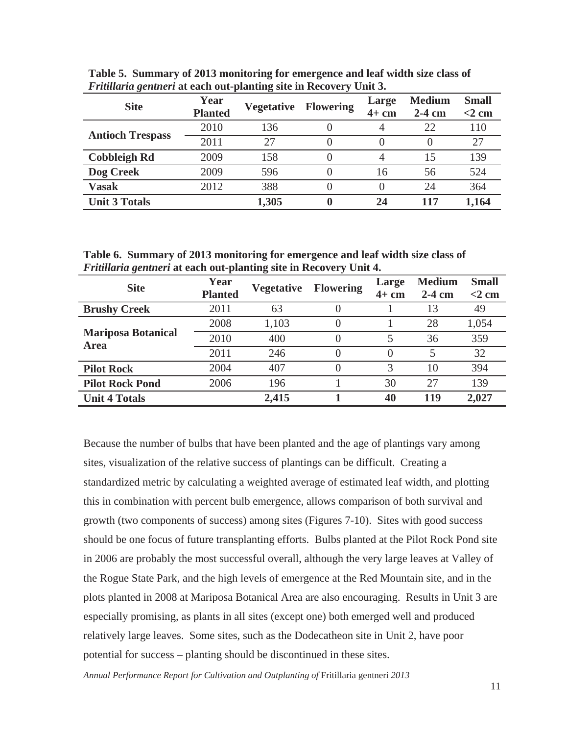| <b>Site</b>             | Year<br><b>Planted</b> | <b>Vegetative</b> | <b>Flowering</b> | Large<br>$4+$ cm | <b>Medium</b><br>$2-4$ cm | <b>Small</b><br>$<$ 2 cm |
|-------------------------|------------------------|-------------------|------------------|------------------|---------------------------|--------------------------|
|                         | 2010                   | 136               |                  |                  | 22                        | 110                      |
| <b>Antioch Trespass</b> | 2011                   | 27                |                  |                  |                           | 27                       |
| <b>Cobbleigh Rd</b>     | 2009                   | 158               |                  |                  | 15                        | 139                      |
| <b>Dog Creek</b>        | 2009                   | 596               |                  | 16               | 56                        | 524                      |
| <b>Vasak</b>            | 2012                   | 388               |                  |                  | 24                        | 364                      |
| <b>Unit 3 Totals</b>    |                        | 1,305             |                  | 24               | 117                       | 1,164                    |

**Table 5. Summary of 2013 monitoring for emergence and leaf width size class of**  *Fritillaria gentneri* **at each out-planting site in Recovery Unit 3.** 

**Table 6. Summary of 2013 monitoring for emergence and leaf width size class of**  *Fritillaria gentneri* **at each out-planting site in Recovery Unit 4.** 

| <b>Site</b>                              | Year           | <b>Vegetative</b> | <b>Flowering</b> | Large               | <b>Medium</b> | <b>Small</b> |
|------------------------------------------|----------------|-------------------|------------------|---------------------|---------------|--------------|
|                                          | <b>Planted</b> |                   |                  | $2-4$ cm<br>$4+$ cm |               | $<$ 2 cm     |
| <b>Brushy Creek</b>                      | 2011           | 63                |                  |                     | 13            | 49           |
| <b>Mariposa Botanical</b><br><b>Area</b> | 2008           | 1,103             |                  |                     | 28            | 1,054        |
|                                          | 2010           | 400               |                  |                     | 36            | 359          |
|                                          | 2011           | 246               |                  | $\left( \right)$    | 5             | 32           |
| <b>Pilot Rock</b>                        | 2004           | 407               |                  | 3                   | 10            | 394          |
| <b>Pilot Rock Pond</b>                   | 2006           | 196               |                  | 30                  | 27            | 139          |
| <b>Unit 4 Totals</b>                     |                | 2,415             |                  | 40                  | 119           | 2,027        |

Because the number of bulbs that have been planted and the age of plantings vary among sites, visualization of the relative success of plantings can be difficult. Creating a standardized metric by calculating a weighted average of estimated leaf width, and plotting this in combination with percent bulb emergence, allows comparison of both survival and growth (two components of success) among sites (Figures 7-10). Sites with good success should be one focus of future transplanting efforts. Bulbs planted at the Pilot Rock Pond site in 2006 are probably the most successful overall, although the very large leaves at Valley of the Rogue State Park, and the high levels of emergence at the Red Mountain site, and in the plots planted in 2008 at Mariposa Botanical Area are also encouraging. Results in Unit 3 are especially promising, as plants in all sites (except one) both emerged well and produced relatively large leaves. Some sites, such as the Dodecatheon site in Unit 2, have poor potential for success – planting should be discontinued in these sites.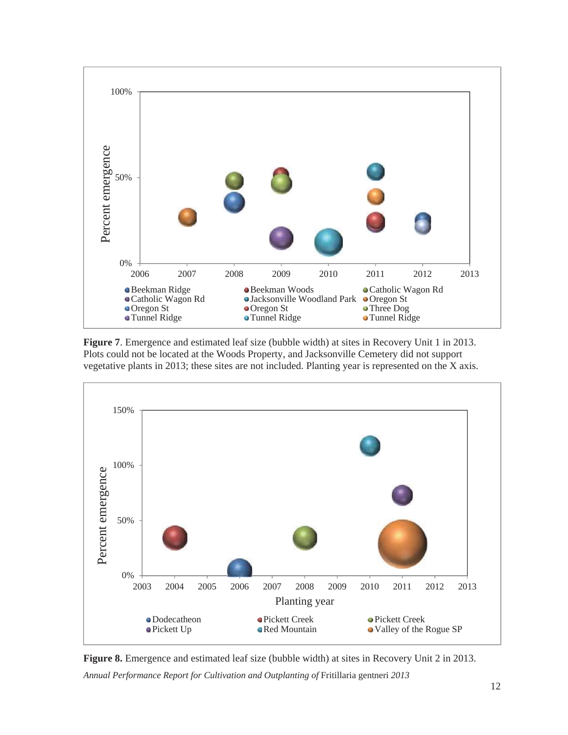![](_page_14_Figure_0.jpeg)

**Figure 7**. Emergence and estimated leaf size (bubble width) at sites in Recovery Unit 1 in 2013. Plots could not be located at the Woods Property, and Jacksonville Cemetery did not support vegetative plants in 2013; these sites are not included. Planting year is represented on the X axis.

![](_page_14_Figure_2.jpeg)

*Annual Performance Report for Cultivation and Outplanting of* Fritillaria gentneri *2013*  **Figure 8.** Emergence and estimated leaf size (bubble width) at sites in Recovery Unit 2 in 2013.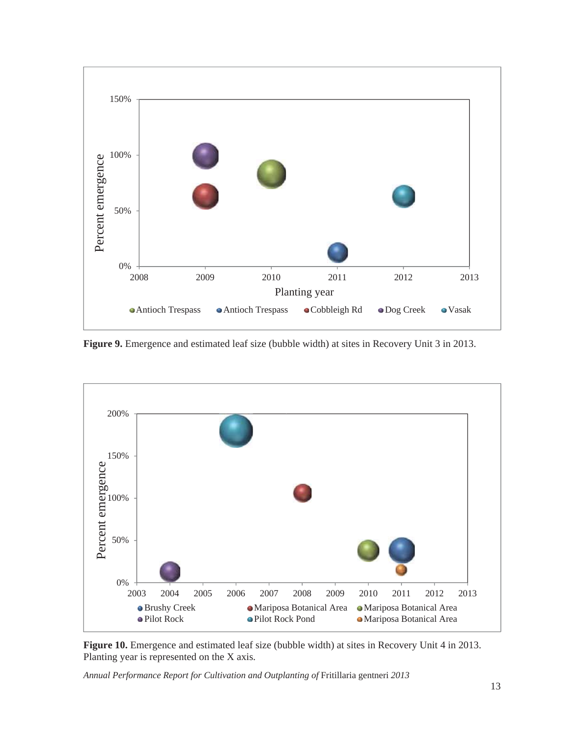![](_page_15_Figure_0.jpeg)

**Figure 9.** Emergence and estimated leaf size (bubble width) at sites in Recovery Unit 3 in 2013.

![](_page_15_Figure_2.jpeg)

**Figure 10.** Emergence and estimated leaf size (bubble width) at sites in Recovery Unit 4 in 2013. Planting year is represented on the X axis.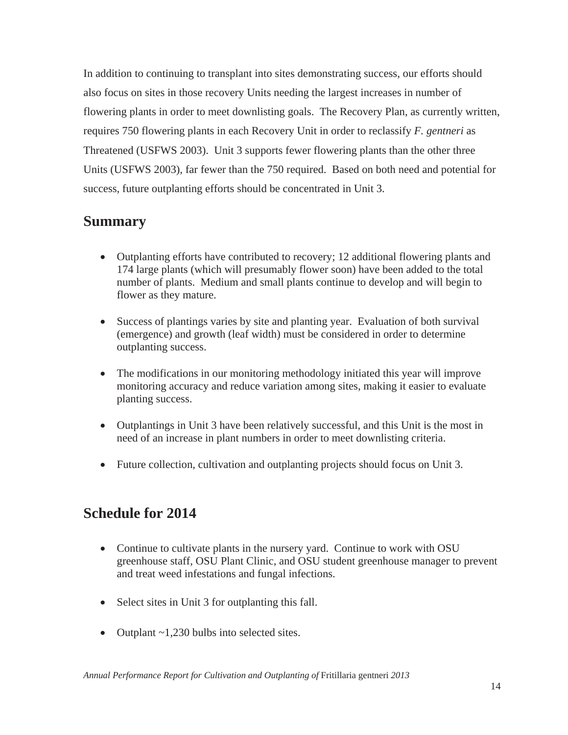In addition to continuing to transplant into sites demonstrating success, our efforts should also focus on sites in those recovery Units needing the largest increases in number of flowering plants in order to meet downlisting goals. The Recovery Plan, as currently written, requires 750 flowering plants in each Recovery Unit in order to reclassify *F. gentneri* as Threatened (USFWS 2003). Unit 3 supports fewer flowering plants than the other three Units (USFWS 2003), far fewer than the 750 required. Based on both need and potential for success, future outplanting efforts should be concentrated in Unit 3.

## **Summary**

- Outplanting efforts have contributed to recovery; 12 additional flowering plants and 174 large plants (which will presumably flower soon) have been added to the total number of plants. Medium and small plants continue to develop and will begin to flower as they mature.
- Success of plantings varies by site and planting year. Evaluation of both survival (emergence) and growth (leaf width) must be considered in order to determine outplanting success.
- The modifications in our monitoring methodology initiated this year will improve monitoring accuracy and reduce variation among sites, making it easier to evaluate planting success.
- Outplantings in Unit 3 have been relatively successful, and this Unit is the most in need of an increase in plant numbers in order to meet downlisting criteria.
- Future collection, cultivation and outplanting projects should focus on Unit 3.

# **Schedule for 2014**

- Continue to cultivate plants in the nursery yard. Continue to work with OSU greenhouse staff, OSU Plant Clinic, and OSU student greenhouse manager to prevent and treat weed infestations and fungal infections.
- Select sites in Unit 3 for outplanting this fall.
- Outplant  $\sim$  1,230 bulbs into selected sites.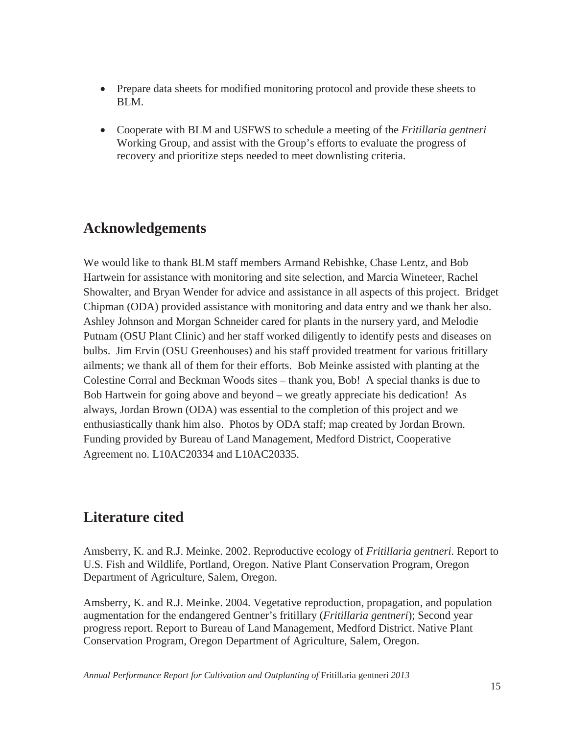- Prepare data sheets for modified monitoring protocol and provide these sheets to BLM.
- x Cooperate with BLM and USFWS to schedule a meeting of the *Fritillaria gentneri* Working Group, and assist with the Group's efforts to evaluate the progress of recovery and prioritize steps needed to meet downlisting criteria.

# **Acknowledgements**

We would like to thank BLM staff members Armand Rebishke, Chase Lentz, and Bob Hartwein for assistance with monitoring and site selection, and Marcia Wineteer, Rachel Showalter, and Bryan Wender for advice and assistance in all aspects of this project. Bridget Chipman (ODA) provided assistance with monitoring and data entry and we thank her also. Ashley Johnson and Morgan Schneider cared for plants in the nursery yard, and Melodie Putnam (OSU Plant Clinic) and her staff worked diligently to identify pests and diseases on bulbs. Jim Ervin (OSU Greenhouses) and his staff provided treatment for various fritillary ailments; we thank all of them for their efforts. Bob Meinke assisted with planting at the Colestine Corral and Beckman Woods sites – thank you, Bob! A special thanks is due to Bob Hartwein for going above and beyond – we greatly appreciate his dedication! As always, Jordan Brown (ODA) was essential to the completion of this project and we enthusiastically thank him also. Photos by ODA staff; map created by Jordan Brown. Funding provided by Bureau of Land Management, Medford District, Cooperative Agreement no. L10AC20334 and L10AC20335.

# **Literature cited**

Amsberry, K. and R.J. Meinke. 2002. Reproductive ecology of *Fritillaria gentneri*. Report to U.S. Fish and Wildlife, Portland, Oregon. Native Plant Conservation Program, Oregon Department of Agriculture, Salem, Oregon.

Amsberry, K. and R.J. Meinke. 2004. Vegetative reproduction, propagation, and population augmentation for the endangered Gentner's fritillary (*Fritillaria gentneri*); Second year progress report. Report to Bureau of Land Management, Medford District. Native Plant Conservation Program, Oregon Department of Agriculture, Salem, Oregon.